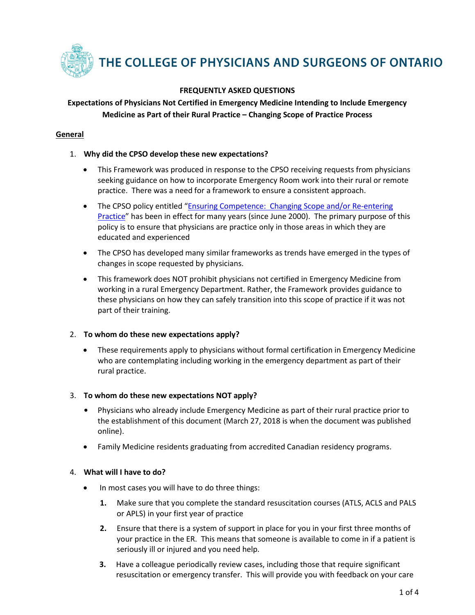

# **FREQUENTLY ASKED QUESTIONS**

# **Expectations of Physicians Not Certified in Emergency Medicine Intending to Include Emergency Medicine as Part of their Rural Practice – Changing Scope of Practice Process**

# **General**

### 1. **Why did the CPSO develop these new expectations?**

- This Framework was produced in response to the CPSO receiving requests from physicians seeking guidance on how to incorporate Emergency Room work into their rural or remote practice. There was a need for a framework to ensure a consistent approach.
- The CPSO policy entitled "Ensuring Competence: Changing Scope and/or Re-entering [Practice"](http://www.cpso.on.ca/Policies-Publications/Policy/Ensuring-Competence) has been in effect for many years (since June 2000). The primary purpose of this policy is to ensure that physicians are practice only in those areas in which they are educated and experienced
- The CPSO has developed many similar frameworks as trends have emerged in the types of changes in scope requested by physicians.
- This framework does NOT prohibit physicians not certified in Emergency Medicine from working in a rural Emergency Department. Rather, the Framework provides guidance to these physicians on how they can safely transition into this scope of practice if it was not part of their training.

### 2. **To whom do these new expectations apply?**

• These requirements apply to physicians without formal certification in Emergency Medicine who are contemplating including working in the emergency department as part of their rural practice.

### 3. **To whom do these new expectations NOT apply?**

- **•** Physicians who already include Emergency Medicine as part of their rural practice prior to the establishment of this document (March 27, 2018 is when the document was published online).
- Family Medicine residents graduating from accredited Canadian residency programs.

# 4. **What will I have to do?**

- In most cases you will have to do three things:
	- **1.** Make sure that you complete the standard resuscitation courses (ATLS, ACLS and PALS or APLS) in your first year of practice
	- **2.** Ensure that there is a system of support in place for you in your first three months of your practice in the ER. This means that someone is available to come in if a patient is seriously ill or injured and you need help.
	- **3.** Have a colleague periodically review cases, including those that require significant resuscitation or emergency transfer. This will provide you with feedback on your care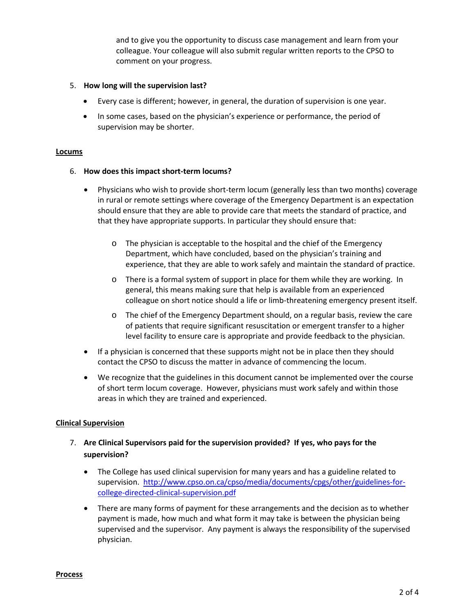and to give you the opportunity to discuss case management and learn from your colleague. Your colleague will also submit regular written reports to the CPSO to comment on your progress.

#### 5. **How long will the supervision last?**

- Every case is different; however, in general, the duration of supervision is one year.
- In some cases, based on the physician's experience or performance, the period of supervision may be shorter.

#### **Locums**

#### 6. **How does this impact short-term locums?**

- Physicians who wish to provide short-term locum (generally less than two months) coverage in rural or remote settings where coverage of the Emergency Department is an expectation should ensure that they are able to provide care that meets the standard of practice, and that they have appropriate supports. In particular they should ensure that:
	- o The physician is acceptable to the hospital and the chief of the Emergency Department, which have concluded, based on the physician's training and experience, that they are able to work safely and maintain the standard of practice.
	- o There is a formal system of support in place for them while they are working. In general, this means making sure that help is available from an experienced colleague on short notice should a life or limb-threatening emergency present itself.
	- o The chief of the Emergency Department should, on a regular basis, review the care of patients that require significant resuscitation or emergent transfer to a higher level facility to ensure care is appropriate and provide feedback to the physician.
- If a physician is concerned that these supports might not be in place then they should contact the CPSO to discuss the matter in advance of commencing the locum.
- We recognize that the guidelines in this document cannot be implemented over the course of short term locum coverage. However, physicians must work safely and within those areas in which they are trained and experienced.

#### **Clinical Supervision**

- 7. **Are Clinical Supervisors paid for the supervision provided? If yes, who pays for the supervision?**
	- The College has used clinical supervision for many years and has a guideline related to supervision. [http://www.cpso.on.ca/cpso/media/documents/cpgs/other/guidelines-for](http://www.cpso.on.ca/cpso/media/documents/cpgs/other/guidelines-for-college-directed-clinical-supervision.pdf)[college-directed-clinical-supervision.pdf](http://www.cpso.on.ca/cpso/media/documents/cpgs/other/guidelines-for-college-directed-clinical-supervision.pdf)
	- There are many forms of payment for these arrangements and the decision as to whether payment is made, how much and what form it may take is between the physician being supervised and the supervisor. Any payment is always the responsibility of the supervised physician.